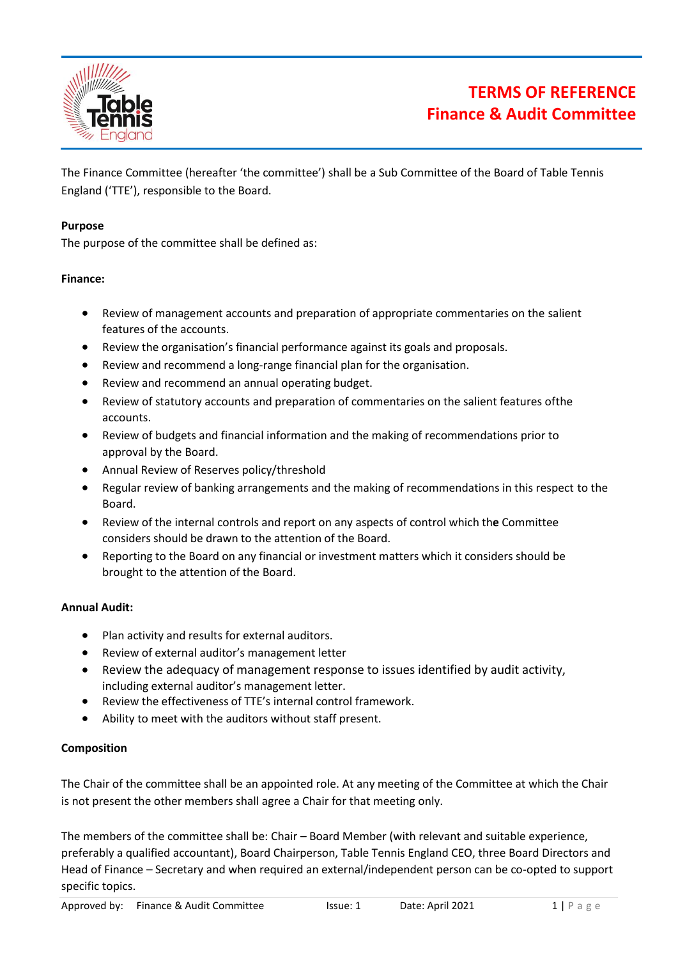

# **TERMS OF REFERENCE Finance & Audit Committee**

The Finance Committee (hereafter 'the committee') shall be a Sub Committee of the Board of Table Tennis England ('TTE'), responsible to the Board.

#### **Purpose**

The purpose of the committee shall be defined as:

### **Finance:**

- Review of management accounts and preparation of appropriate commentaries on the salient features of the accounts.
- Review the organisation's financial performance against its goals and proposals.
- Review and recommend a long-range financial plan for the organisation.
- Review and recommend an annual operating budget.
- Review of statutory accounts and preparation of commentaries on the salient features ofthe accounts.
- Review of budgets and financial information and the making of recommendations prior to approval by the Board.
- Annual Review of Reserves policy/threshold
- Regular review of banking arrangements and the making of recommendations in this respect to the Board.
- Review of the internal controls and report on any aspects of control which th**e** Committee considers should be drawn to the attention of the Board.
- Reporting to the Board on any financial or investment matters which it considers should be brought to the attention of the Board.

#### **Annual Audit:**

- Plan activity and results for external auditors.
- Review of external auditor's management letter
- Review the adequacy of management response to issues identified by audit activity, including external auditor's management letter.
- Review the effectiveness of TTE's internal control framework.
- Ability to meet with the auditors without staff present.

#### **Composition**

The Chair of the committee shall be an appointed role. At any meeting of the Committee at which the Chair is not present the other members shall agree a Chair for that meeting only.

The members of the committee shall be: Chair – Board Member (with relevant and suitable experience, preferably a qualified accountant), Board Chairperson, Table Tennis England CEO, three Board Directors and Head of Finance – Secretary and when required an external/independent person can be co-opted to support specific topics.